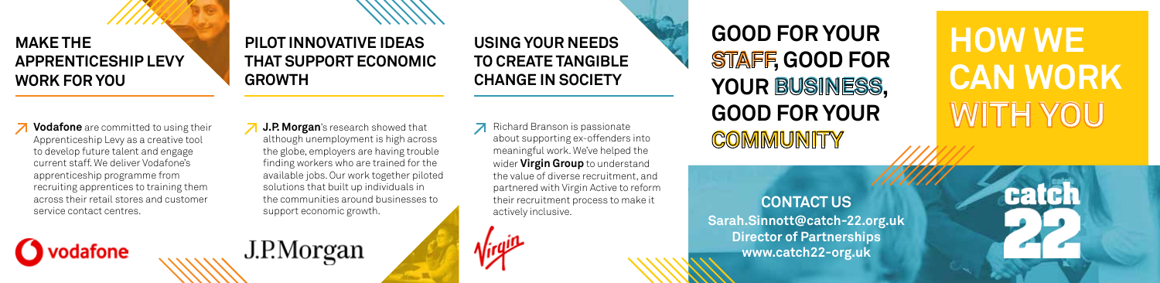## **MAKE THE APPRENTICESHIP LEVY WORK FOR YOU**

## **PILOT INNOVATIVE IDEAS THAT SUPPORT ECONOMIC GROWTH**

**USING YOUR NEEDS TO CREATE TANGIBLE CHANGE IN SOCIETY** 

**Z** Vodafone are committed to using their Apprenticeship Levy as a creative tool to develop future talent and engage current staff. We deliver Vodafone's apprenticeship programme from recruiting apprentices to training them across their retail stores and customer service contact centres.

**O** vodafone

**J.P. Morgan**'s research showed that although unemployment is high across the globe, employers are having trouble finding workers who are trained for the available jobs. Our work together piloted solutions that built up individuals in the communities around businesses to support economic growth.

J.P.Morgan

**7** Richard Branson is passionate about supporting ex-offenders into meaningful work. We've helped the wider **Virgin Group** to understand the value of diverse recruitment, and partnered with Virgin Active to reform their recruitment process to make it actively inclusive.

 $\sqrt{q}$ 

**STAFF , GOOD FOR**  YOUR BUSINESS, **COMMUNITY GOOD FOR YOUR GOOD FOR YOUR** 

**WITH YOU HOW WE CAN WORK**

catch

**CONTACT US**

**Sarah.Sinnott@catch-22.org.uk Director of Partnerships www.catch22-org.uk**